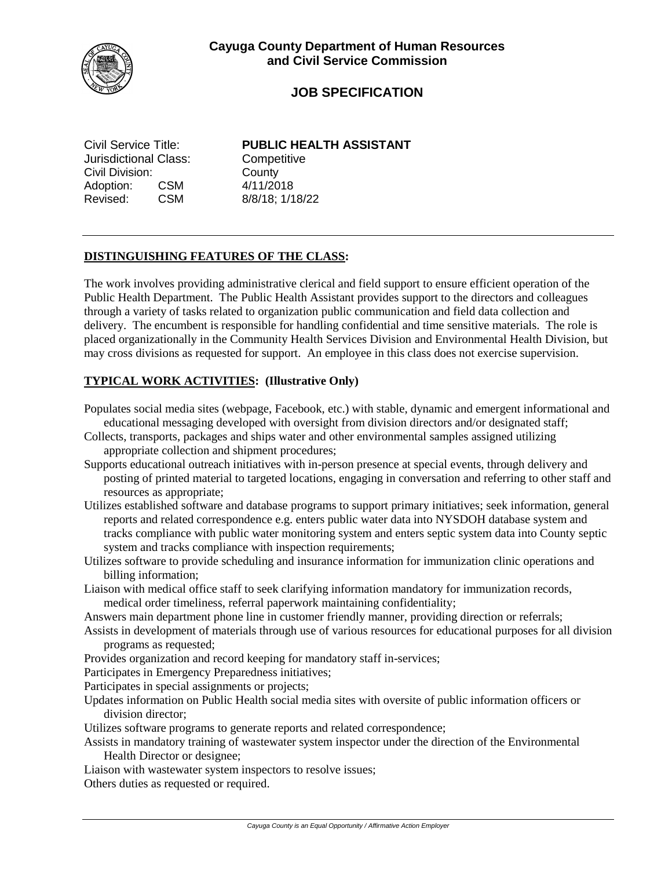

# **JOB SPECIFICATION**

Jurisdictional Class: Competitive Civil Division: County Adoption: CSM 4/11/2018 Revised: CSM 8/8/18; 1/18/22

Civil Service Title: **PUBLIC HEALTH ASSISTANT**

### **DISTINGUISHING FEATURES OF THE CLASS:**

The work involves providing administrative clerical and field support to ensure efficient operation of the Public Health Department. The Public Health Assistant provides support to the directors and colleagues through a variety of tasks related to organization public communication and field data collection and delivery. The encumbent is responsible for handling confidential and time sensitive materials. The role is placed organizationally in the Community Health Services Division and Environmental Health Division, but may cross divisions as requested for support. An employee in this class does not exercise supervision.

## **TYPICAL WORK ACTIVITIES: (Illustrative Only)**

- Populates social media sites (webpage, Facebook, etc.) with stable, dynamic and emergent informational and educational messaging developed with oversight from division directors and/or designated staff;
- Collects, transports, packages and ships water and other environmental samples assigned utilizing appropriate collection and shipment procedures;
- Supports educational outreach initiatives with in-person presence at special events, through delivery and posting of printed material to targeted locations, engaging in conversation and referring to other staff and resources as appropriate;
- Utilizes established software and database programs to support primary initiatives; seek information, general reports and related correspondence e.g. enters public water data into NYSDOH database system and tracks compliance with public water monitoring system and enters septic system data into County septic system and tracks compliance with inspection requirements;
- Utilizes software to provide scheduling and insurance information for immunization clinic operations and billing information;
- Liaison with medical office staff to seek clarifying information mandatory for immunization records, medical order timeliness, referral paperwork maintaining confidentiality;
- Answers main department phone line in customer friendly manner, providing direction or referrals;
- Assists in development of materials through use of various resources for educational purposes for all division programs as requested;
- Provides organization and record keeping for mandatory staff in-services;
- Participates in Emergency Preparedness initiatives;
- Participates in special assignments or projects;
- Updates information on Public Health social media sites with oversite of public information officers or division director;
- Utilizes software programs to generate reports and related correspondence;
- Assists in mandatory training of wastewater system inspector under the direction of the Environmental Health Director or designee;
- Liaison with wastewater system inspectors to resolve issues;
- Others duties as requested or required.